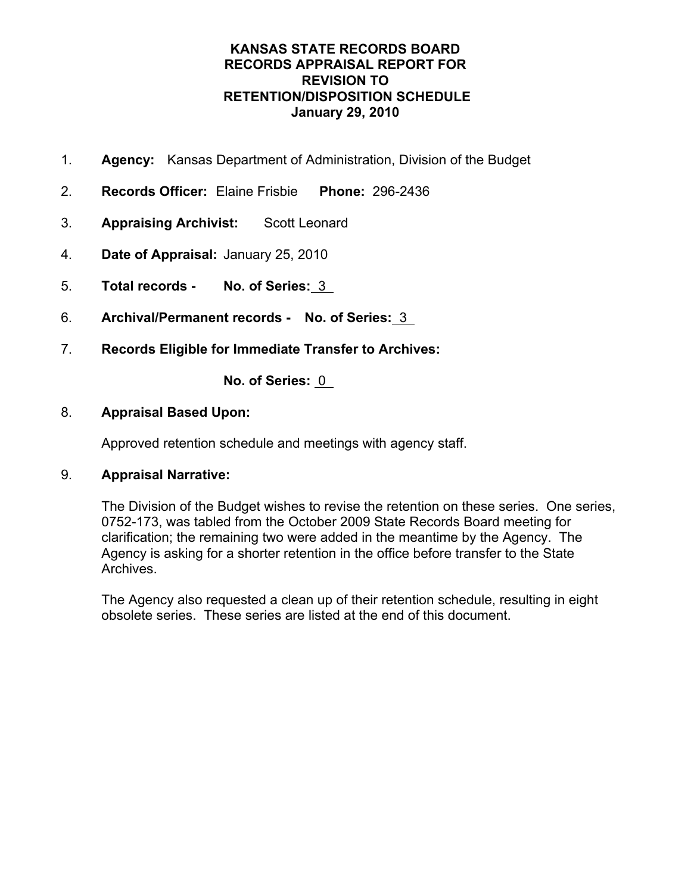- 1. **Agency:** Kansas Department of Administration, Division of the Budget
- 2. **Records Officer:** Elaine Frisbie **Phone:** 296-2436
- 3. **Appraising Archivist:** Scott Leonard
- 4. **Date of Appraisal:** January 25, 2010
- 5. **Total records No. of Series:** 3
- 6. **Archival/Permanent records No. of Series:** 3
- 7. **Records Eligible for Immediate Transfer to Archives:**

**No. of Series:** 0

### 8. **Appraisal Based Upon:**

Approved retention schedule and meetings with agency staff.

## 9. **Appraisal Narrative:**

The Division of the Budget wishes to revise the retention on these series. One series, 0752-173, was tabled from the October 2009 State Records Board meeting for clarification; the remaining two were added in the meantime by the Agency. The Agency is asking for a shorter retention in the office before transfer to the State Archives.

The Agency also requested a clean up of their retention schedule, resulting in eight obsolete series. These series are listed at the end of this document.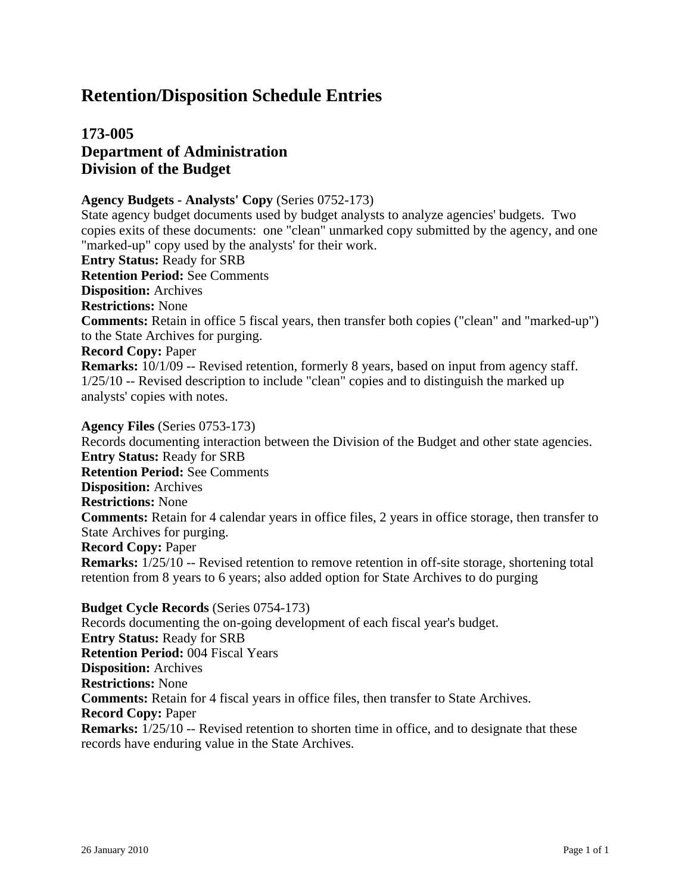# **173-005 Department of Administration Division of the Budget**

#### **Agency Budgets - Analysts' Copy** (Series 0752-173)

State agency budget documents used by budget analysts to analyze agencies' budgets. Two copies exits of these documents: one "clean" unmarked copy submitted by the agency, and one "marked-up" copy used by the analysts' for their work.

**Entry Status:** Ready for SRB **Retention Period:** See Comments **Disposition:** Archives **Restrictions:** None **Comments:** Retain in office 5 fiscal years, then transfer both copies ("clean" and "marked-up") to the State Archives for purging. **Record Copy:** Paper

**Remarks:** 10/1/09 -- Revised retention, formerly 8 years, based on input from agency staff. 1/25/10 -- Revised description to include "clean" copies and to distinguish the marked up analysts' copies with notes.

**Agency Files** (Series 0753-173) Records documenting interaction between the Division of the Budget and other state agencies. **Entry Status:** Ready for SRB **Retention Period:** See Comments **Disposition:** Archives **Restrictions:** None **Comments:** Retain for 4 calendar years in office files, 2 years in office storage, then transfer to State Archives for purging. **Record Copy:** Paper **Remarks:**  $1/25/10$  -- Revised retention to remove retention in off-site storage, shortening total retention from 8 years to 6 years; also added option for State Archives to do purging

**Budget Cycle Records** (Series 0754-173)

Records documenting the on-going development of each fiscal year's budget. **Entry Status:** Ready for SRB **Retention Period:** 004 Fiscal Years **Disposition:** Archives **Restrictions:** None **Comments:** Retain for 4 fiscal years in office files, then transfer to State Archives. **Record Copy:** Paper **Remarks:**  $1/25/10$  -- Revised retention to shorten time in office, and to designate that these records have enduring value in the State Archives.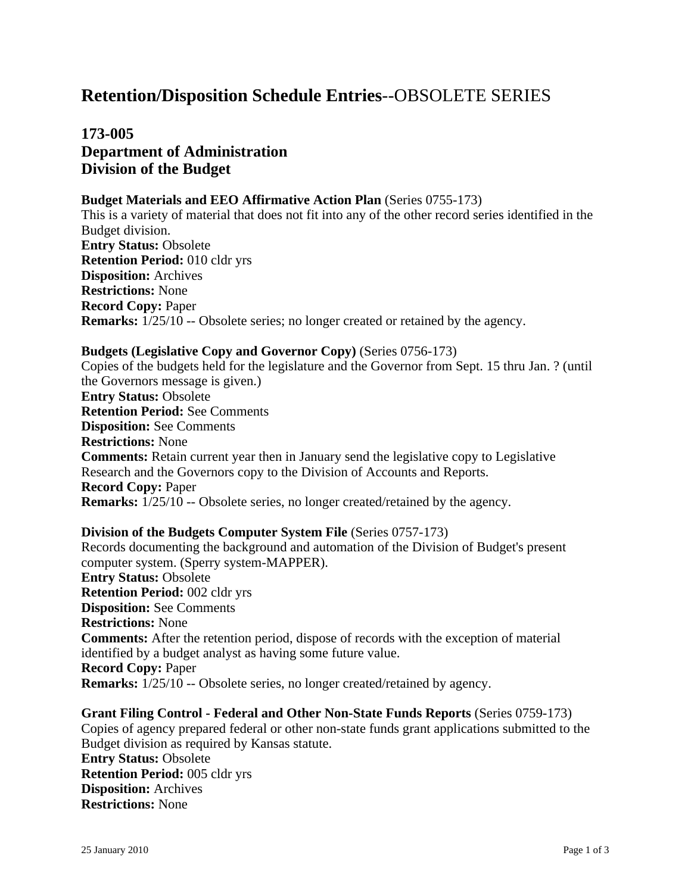# **Retention/Disposition Schedule Entries** --OBSOLETE SERIES

**173-005 Department of Administration Division of the Budget**

#### **Budget Materials and EEO Affirmative Action Plan** (Series 0755-173)

This is a variety of material that does not fit into any of the other record series identified in the Budget division. **Entry Status:** Obsolete **Retention Period:** 010 cldr yrs **Disposition:** Archives **Restrictions:** None **Record Copy:** Paper **Remarks:**  $1/25/10$  -- Obsolete series; no longer created or retained by the agency.

#### **Budgets (Legislative Copy and Governor Copy)** (Series 0756-173)

Copies of the budgets held for the legislature and the Governor from Sept. 15 thru Jan. ? (until the Governors message is given.) **Entry Status:** Obsolete **Retention Period:** See Comments **Disposition:** See Comments **Restrictions:** None **Comments:** Retain current year then in January send the legislative copy to Legislative Research and the Governors copy to the Division of Accounts and Reports. **Record Copy:** Paper **Remarks:**  $1/25/10$  -- Obsolete series, no longer created/retained by the agency.

#### **Division of the Budgets Computer System File** (Series 0757-173)

Records documenting the background and automation of the Division of Budget's present computer system. (Sperry system-MAPPER). **Entry Status:** Obsolete **Retention Period:** 002 cldr yrs **Disposition:** See Comments **Restrictions:** None **Comments:** After the retention period, dispose of records with the exception of material identified by a budget analyst as having some future value. **Record Copy:** Paper **Remarks:**  $1/25/10$  -- Obsolete series, no longer created/retained by agency.

**Grant Filing Control - Federal and Other Non-State Funds Reports** (Series 0759-173) Copies of agency prepared federal or other non-state funds grant applications submitted to the Budget division as required by Kansas statute. **Entry Status:** Obsolete **Retention Period:** 005 cldr yrs **Disposition:** Archives **Restrictions:** None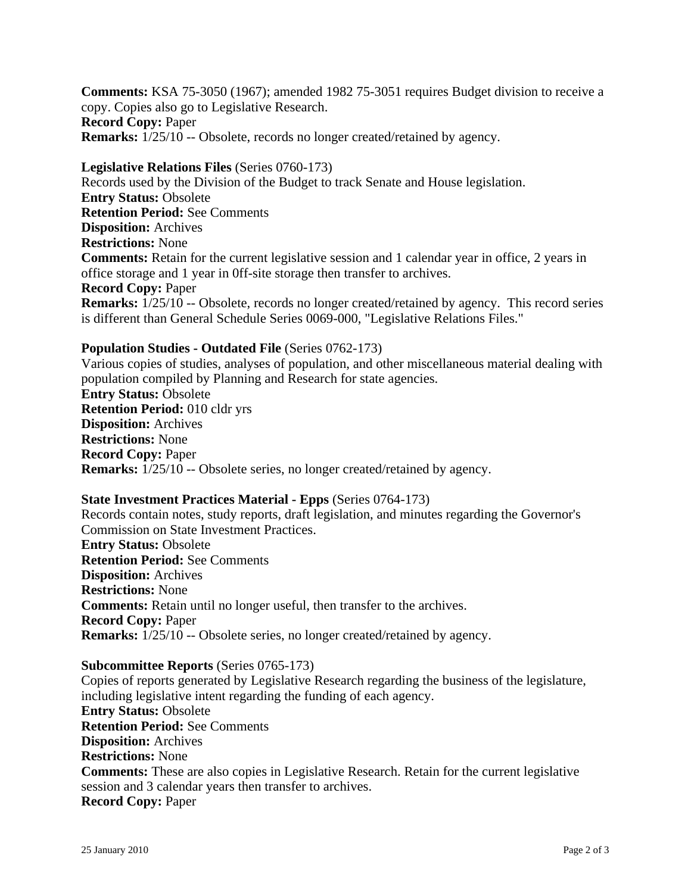**Comments:** KSA 75-3050 (1967); amended 1982 75-3051 requires Budget division to receive a copy. Copies also go to Legislative Research. **Record Copy:** Paper **Remarks:**  $1/25/10$  -- Obsolete, records no longer created/retained by agency.

**Legislative Relations Files** (Series 0760-173) Records used by the Division of the Budget to track Senate and House legislation. **Entry Status:** Obsolete **Retention Period:** See Comments **Disposition:** Archives **Restrictions:** None **Comments:** Retain for the current legislative session and 1 calendar year in office, 2 years in office storage and 1 year in 0ff-site storage then transfer to archives. **Record Copy:** Paper **Remarks:** 1/25/10 -- Obsolete, records no longer created/retained by agency. This record series is different than General Schedule Series 0069-000, "Legislative Relations Files."

#### **Population Studies - Outdated File** (Series 0762-173)

Various copies of studies, analyses of population, and other miscellaneous material dealing with population compiled by Planning and Research for state agencies. **Entry Status:** Obsolete **Retention Period:** 010 cldr yrs **Disposition:** Archives **Restrictions:** None **Record Copy:** Paper **Remarks:**  $1/25/10$  -- Obsolete series, no longer created/retained by agency.

#### **State Investment Practices Material - Epps** (Series 0764-173)

Records contain notes, study reports, draft legislation, and minutes regarding the Governor's Commission on State Investment Practices. **Entry Status:** Obsolete **Retention Period:** See Comments **Disposition:** Archives **Restrictions:** None **Comments:** Retain until no longer useful, then transfer to the archives. **Record Copy:** Paper **Remarks:**  $1/25/10$  -- Obsolete series, no longer created/retained by agency.

#### **Subcommittee Reports** (Series 0765-173)

Copies of reports generated by Legislative Research regarding the business of the legislature, including legislative intent regarding the funding of each agency. **Entry Status:** Obsolete **Retention Period:** See Comments **Disposition:** Archives **Restrictions:** None **Comments:** These are also copies in Legislative Research. Retain for the current legislative session and 3 calendar years then transfer to archives. **Record Copy:** Paper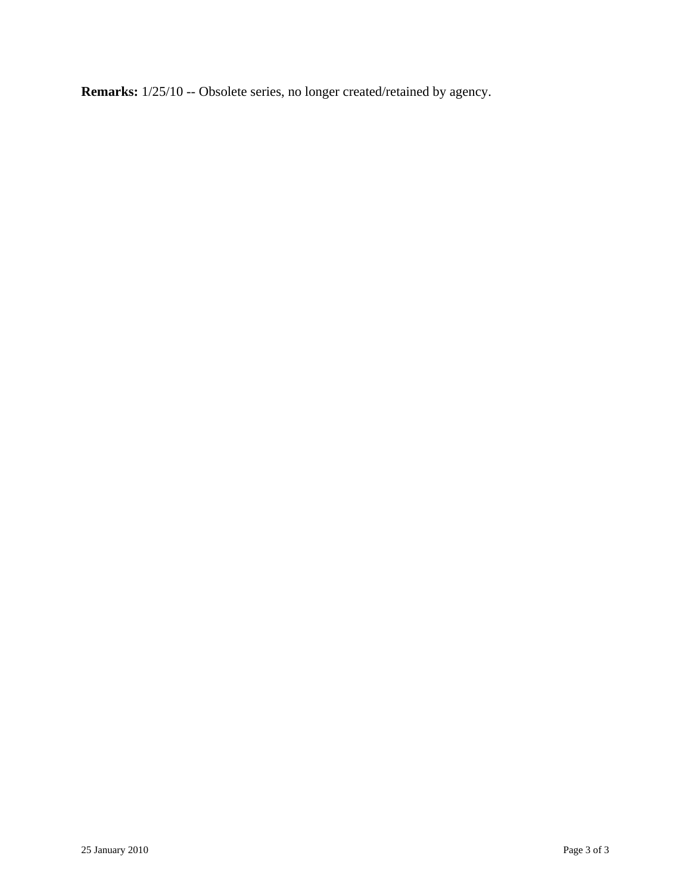**Remarks:** 1/25/10 -- Obsolete series, no longer created/retained by agency.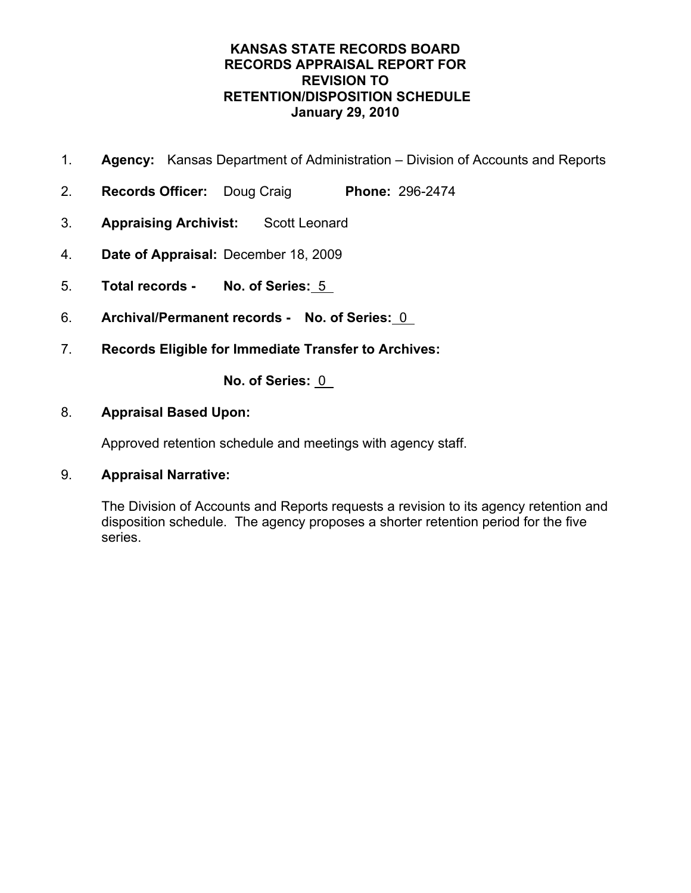- 1. **Agency:** Kansas Department of Administration Division of Accounts and Reports
- 2. **Records Officer:** Doug Craig **Phone:** 296-2474
- 3. **Appraising Archivist:** Scott Leonard
- 4. **Date of Appraisal:** December 18, 2009
- 5. **Total records No. of Series:** 5
- 6. **Archival/Permanent records No. of Series:** 0
- 7. **Records Eligible for Immediate Transfer to Archives:**

**No. of Series:** 0

### 8. **Appraisal Based Upon:**

Approved retention schedule and meetings with agency staff.

## 9. **Appraisal Narrative:**

The Division of Accounts and Reports requests a revision to its agency retention and disposition schedule. The agency proposes a shorter retention period for the five series.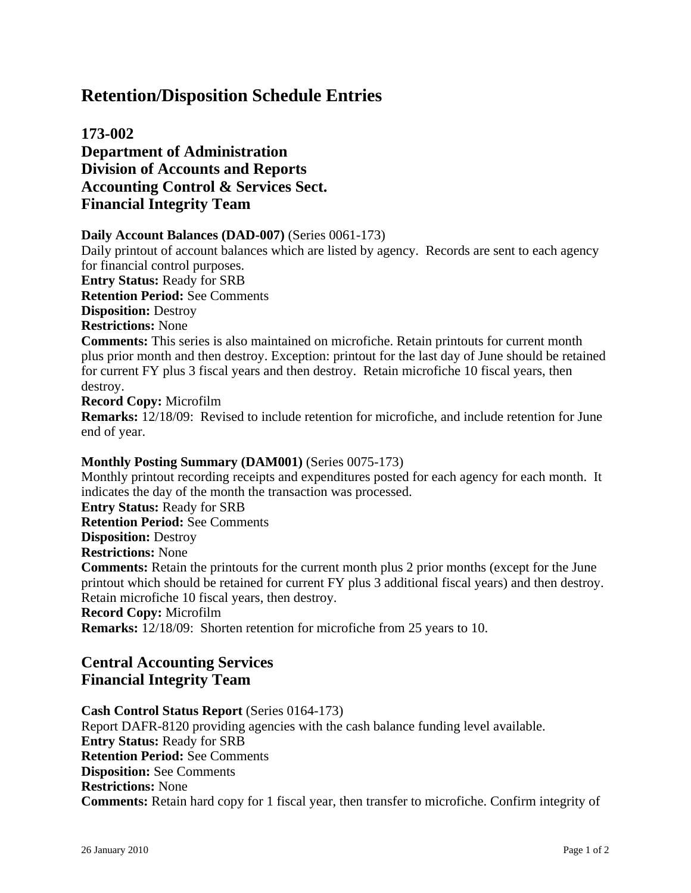# **173-002 Department of Administration Division of Accounts and Reports Accounting Control & Services Sect. Financial Integrity Team**

#### **Daily Account Balances (DAD-007)** (Series 0061-173)

Daily printout of account balances which are listed by agency. Records are sent to each agency for financial control purposes. **Entry Status:** Ready for SRB **Retention Period:** See Comments **Disposition:** Destroy **Restrictions:** None **Comments:** This series is also maintained on microfiche. Retain printouts for current month plus prior month and then destroy. Exception: printout for the last day of June should be retained for current FY plus 3 fiscal years and then destroy. Retain microfiche 10 fiscal years, then destroy. **Record Copy:** Microfilm

**Remarks:** 12/18/09: Revised to include retention for microfiche, and include retention for June end of year.

#### **Monthly Posting Summary (DAM001)** (Series 0075-173)

Monthly printout recording receipts and expenditures posted for each agency for each month. It indicates the day of the month the transaction was processed.

**Entry Status:** Ready for SRB

**Retention Period:** See Comments

**Disposition:** Destroy

**Restrictions:** None

**Comments:** Retain the printouts for the current month plus 2 prior months (except for the June printout which should be retained for current FY plus 3 additional fiscal years) and then destroy. Retain microfiche 10 fiscal years, then destroy.

#### **Record Copy:** Microfilm

**Remarks:** 12/18/09: Shorten retention for microfiche from 25 years to 10.

# **Central Accounting Services Financial Integrity Team**

#### **Cash Control Status Report** (Series 0164-173)

Report DAFR-8120 providing agencies with the cash balance funding level available. **Entry Status:** Ready for SRB **Retention Period:** See Comments **Disposition:** See Comments **Restrictions:** None **Comments:** Retain hard copy for 1 fiscal year, then transfer to microfiche. Confirm integrity of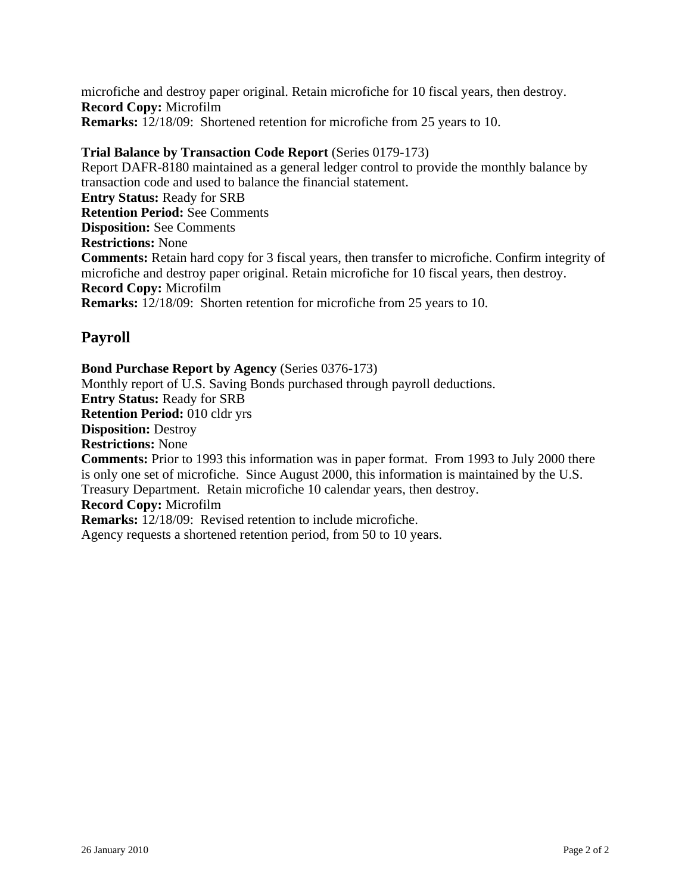microfiche and destroy paper original. Retain microfiche for 10 fiscal years, then destroy. **Record Copy:** Microfilm **Remarks:** 12/18/09: Shortened retention for microfiche from 25 years to 10.

### **Trial Balance by Transaction Code Report** (Series 0179-173)

Report DAFR-8180 maintained as a general ledger control to provide the monthly balance by transaction code and used to balance the financial statement. **Entry Status:** Ready for SRB **Retention Period:** See Comments **Disposition:** See Comments **Restrictions:** None **Comments:** Retain hard copy for 3 fiscal years, then transfer to microfiche. Confirm integrity of microfiche and destroy paper original. Retain microfiche for 10 fiscal years, then destroy. **Record Copy:** Microfilm **Remarks:** 12/18/09: Shorten retention for microfiche from 25 years to 10.

# **Payroll**

**Bond Purchase Report by Agency** (Series 0376-173) Monthly report of U.S. Saving Bonds purchased through payroll deductions. **Entry Status:** Ready for SRB **Retention Period:** 010 cldr yrs **Disposition:** Destroy **Restrictions:** None **Comments:** Prior to 1993 this information was in paper format. From 1993 to July 2000 there is only one set of microfiche. Since August 2000, this information is maintained by the U.S. Treasury Department. Retain microfiche 10 calendar years, then destroy. **Record Copy:** Microfilm **Remarks:** 12/18/09: Revised retention to include microfiche. Agency requests a shortened retention period, from 50 to 10 years.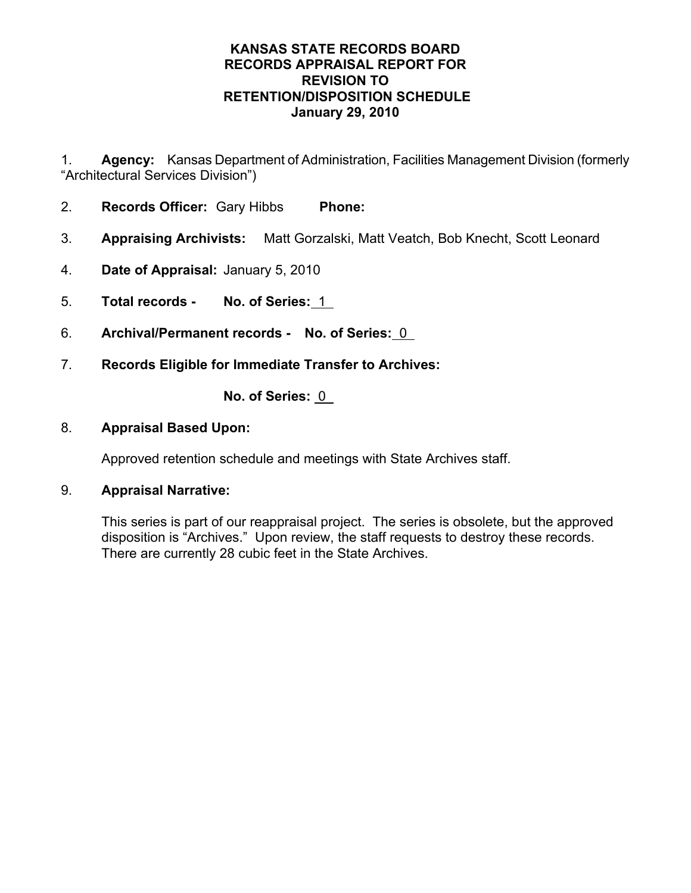1. **Agency:** Kansas Department of Administration, Facilities Management Division (formerly "Architectural Services Division")

- 2. **Records Officer:** Gary Hibbs **Phone:**
- 3. **Appraising Archivists:** Matt Gorzalski, Matt Veatch, Bob Knecht, Scott Leonard
- 4. **Date of Appraisal:** January 5, 2010
- 5. **Total records No. of Series:** 1
- 6. **Archival/Permanent records No. of Series:** 0
- 7. **Records Eligible for Immediate Transfer to Archives:**

**No. of Series:** 0

# 8. **Appraisal Based Upon:**

Approved retention schedule and meetings with State Archives staff.

## 9. **Appraisal Narrative:**

This series is part of our reappraisal project. The series is obsolete, but the approved disposition is "Archives." Upon review, the staff requests to destroy these records. There are currently 28 cubic feet in the State Archives.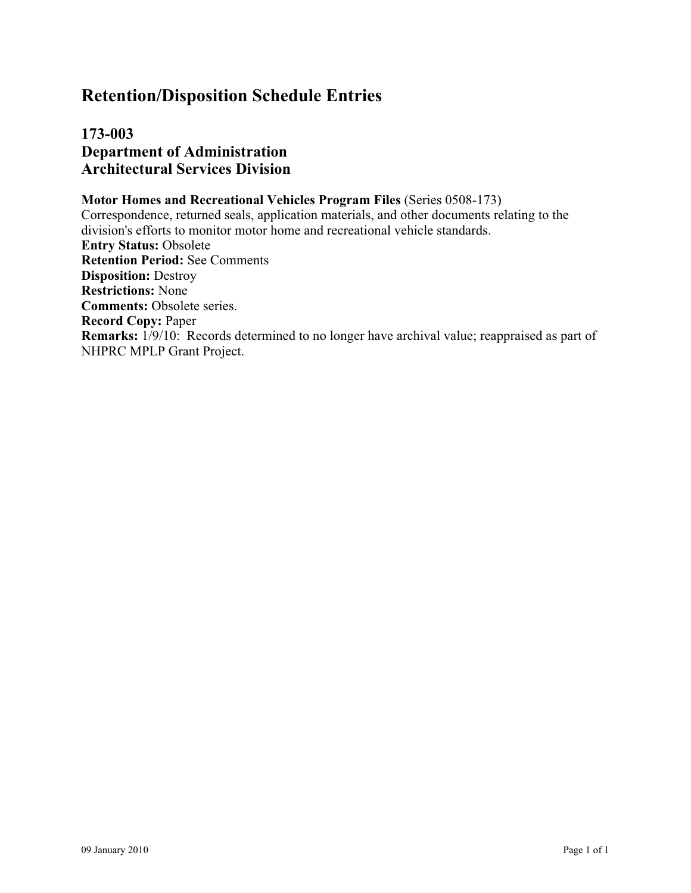**173-003 Department of Administration Architectural Services Division**

#### **Motor Homes and Recreational Vehicles Program Files** (Series 0508-173) Correspondence, returned seals, application materials, and other documents relating to the division's efforts to monitor motor home and recreational vehicle standards. **Entry Status:** Obsolete **Retention Period:** See Comments **Disposition:** Destroy **Restrictions:** None **Comments:** Obsolete series. **Record Copy:** Paper **Remarks:** 1/9/10: Records determined to no longer have archival value; reappraised as part of NHPRC MPLP Grant Project.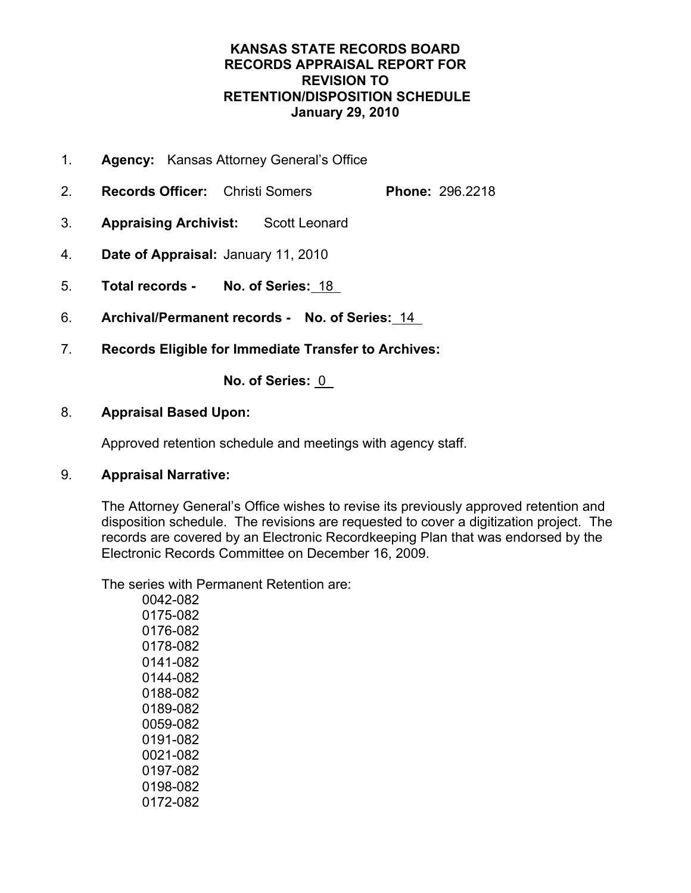- 1. **Agency:** Kansas Attorney General's Office
- 2. **Records Officer:** Christi Somers **Phone:** 296.2218
- 3. **Appraising Archivist:** Scott Leonard
- 4. **Date of Appraisal:** January 11, 2010
- 5. **Total records No. of Series:** 18
- 6. **Archival/Permanent records No. of Series:** 14
- 7. **Records Eligible for Immediate Transfer to Archives:**

**No. of Series:** 0

## 8. **Appraisal Based Upon:**

Approved retention schedule and meetings with agency staff.

## 9. **Appraisal Narrative:**

The Attorney General's Office wishes to revise its previously approved retention and disposition schedule. The revisions are requested to cover a digitization project. The records are covered by an Electronic Recordkeeping Plan that was endorsed by the Electronic Records Committee on December 16, 2009.

The series with Permanent Retention are:

 0042-082 0175-082 0176-082 0178-082 0141-082 0144-082 0188-082 0189-082 0059-082 0191-082 0021-082 0197-082 0198-082 0172-082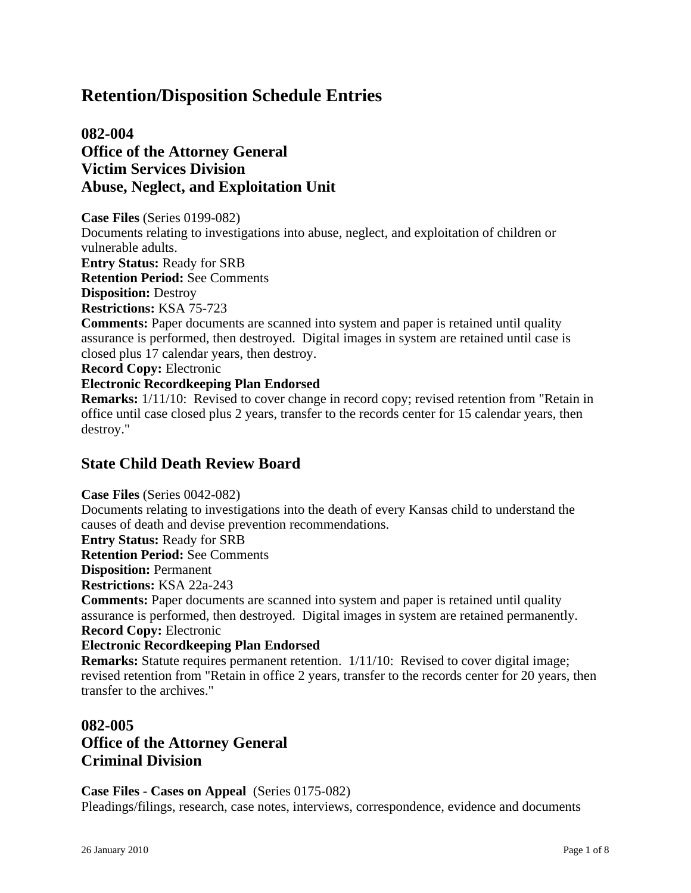# **082-004 Office of the Attorney General Victim Services Division Abuse, Neglect, and Exploitation Unit**

**Case Files** (Series 0199-082) Documents relating to investigations into abuse, neglect, and exploitation of children or vulnerable adults. **Entry Status:** Ready for SRB

**Retention Period:** See Comments

**Disposition:** Destroy

**Restrictions:** KSA 75-723

**Comments:** Paper documents are scanned into system and paper is retained until quality assurance is performed, then destroyed. Digital images in system are retained until case is closed plus 17 calendar years, then destroy.

**Record Copy:** Electronic

#### **Electronic Recordkeeping Plan Endorsed**

**Remarks:**  $1/11/10$ : Revised to cover change in record copy; revised retention from "Retain in office until case closed plus 2 years, transfer to the records center for 15 calendar years, then destroy."

# **State Child Death Review Board**

**Case Files** (Series 0042-082)

Documents relating to investigations into the death of every Kansas child to understand the causes of death and devise prevention recommendations.

**Entry Status:** Ready for SRB

**Retention Period:** See Comments

**Disposition:** Permanent

**Restrictions:** KSA 22a-243

**Comments:** Paper documents are scanned into system and paper is retained until quality assurance is performed, then destroyed. Digital images in system are retained permanently. **Record Copy:** Electronic

#### **Electronic Recordkeeping Plan Endorsed**

**Remarks:** Statute requires permanent retention. 1/11/10: Revised to cover digital image; revised retention from "Retain in office 2 years, transfer to the records center for 20 years, then transfer to the archives."

# **082-005 Office of the Attorney General Criminal Division**

**Case Files - Cases on Appeal** (Series 0175-082) Pleadings/filings, research, case notes, interviews, correspondence, evidence and documents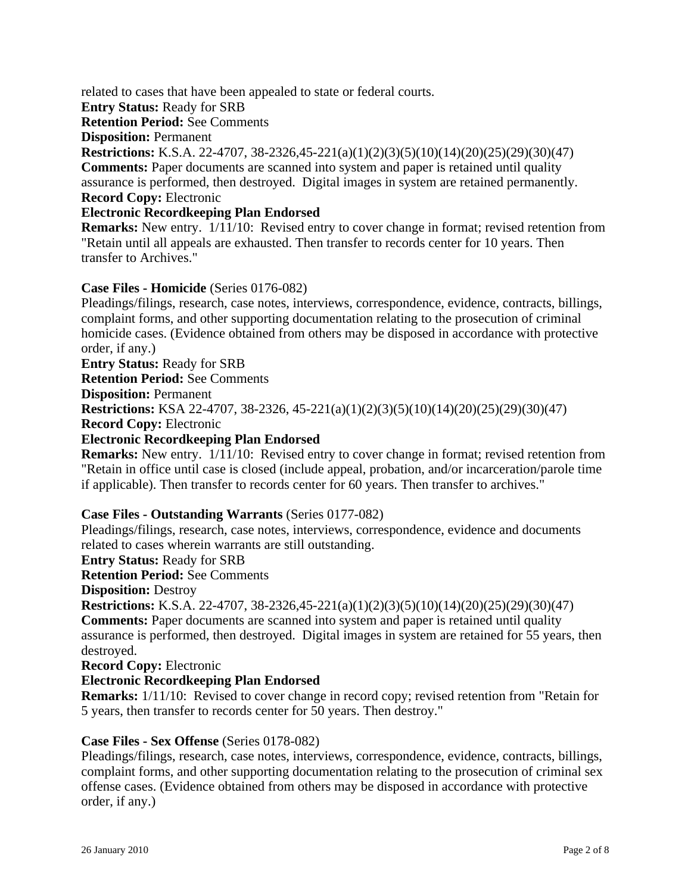related to cases that have been appealed to state or federal courts.

**Entry Status:** Ready for SRB

**Retention Period:** See Comments

**Disposition:** Permanent

**Restrictions:** K.S.A. 22-4707, 38-2326,45-221(a)(1)(2)(3)(5)(10)(14)(20)(25)(29)(30)(47) **Comments:** Paper documents are scanned into system and paper is retained until quality assurance is performed, then destroyed. Digital images in system are retained permanently. **Record Copy:** Electronic

#### **Electronic Recordkeeping Plan Endorsed**

**Remarks:** New entry.  $1/11/10$ : Revised entry to cover change in format; revised retention from "Retain until all appeals are exhausted. Then transfer to records center for 10 years. Then transfer to Archives."

#### **Case Files - Homicide** (Series 0176-082)

Pleadings/filings, research, case notes, interviews, correspondence, evidence, contracts, billings, complaint forms, and other supporting documentation relating to the prosecution of criminal homicide cases. (Evidence obtained from others may be disposed in accordance with protective order, if any.)

**Entry Status:** Ready for SRB **Retention Period:** See Comments **Disposition:** Permanent **Restrictions:** KSA 22-4707, 38-2326, 45-221(a)(1)(2)(3)(5)(10)(14)(20)(25)(29)(30)(47) **Record Copy:** Electronic **Electronic Recordkeeping Plan Endorsed**

**Remarks:** New entry. 1/11/10: Revised entry to cover change in format; revised retention from "Retain in office until case is closed (include appeal, probation, and/or incarceration/parole time if applicable). Then transfer to records center for 60 years. Then transfer to archives."

#### **Case Files - Outstanding Warrants** (Series 0177-082)

Pleadings/filings, research, case notes, interviews, correspondence, evidence and documents related to cases wherein warrants are still outstanding.

**Entry Status:** Ready for SRB

**Retention Period:** See Comments

**Disposition:** Destroy

**Restrictions:** K.S.A. 22-4707, 38-2326,45-221(a)(1)(2)(3)(5)(10)(14)(20)(25)(29)(30)(47) **Comments:** Paper documents are scanned into system and paper is retained until quality assurance is performed, then destroyed. Digital images in system are retained for 55 years, then destroyed.

**Record Copy:** Electronic

#### **Electronic Recordkeeping Plan Endorsed**

**Remarks:**  $1/11/10$ : Revised to cover change in record copy; revised retention from "Retain for 5 years, then transfer to records center for 50 years. Then destroy."

#### **Case Files - Sex Offense** (Series 0178-082)

Pleadings/filings, research, case notes, interviews, correspondence, evidence, contracts, billings, complaint forms, and other supporting documentation relating to the prosecution of criminal sex offense cases. (Evidence obtained from others may be disposed in accordance with protective order, if any.)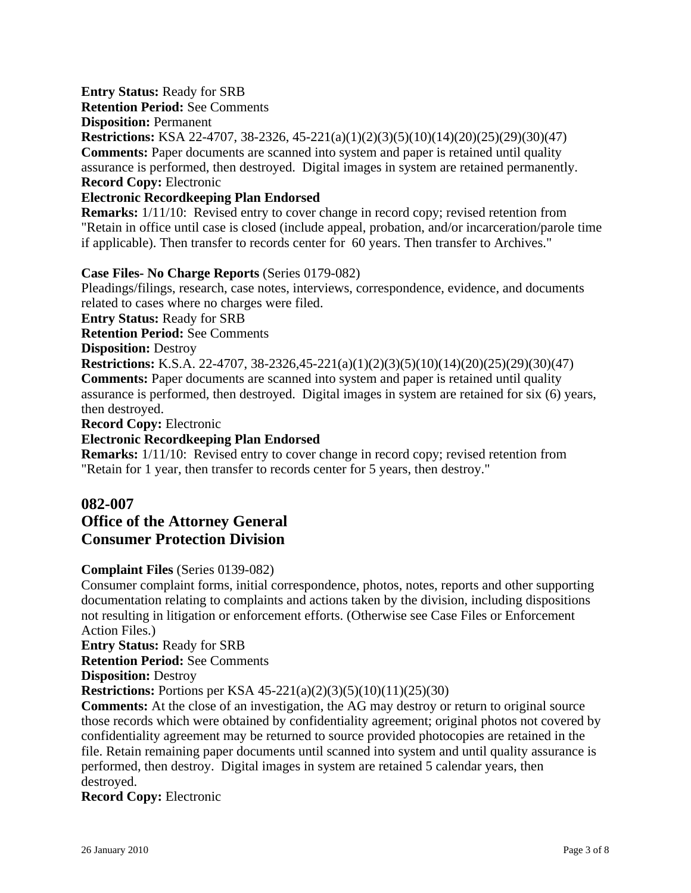### **Entry Status:** Ready for SRB

**Retention Period:** See Comments

**Disposition:** Permanent

**Restrictions:** KSA 22-4707, 38-2326, 45-221(a)(1)(2)(3)(5)(10)(14)(20)(25)(29)(30)(47) **Comments:** Paper documents are scanned into system and paper is retained until quality assurance is performed, then destroyed. Digital images in system are retained permanently. **Record Copy:** Electronic

#### **Electronic Recordkeeping Plan Endorsed**

**Remarks:**  $1/11/10$ : Revised entry to cover change in record copy; revised retention from "Retain in office until case is closed (include appeal, probation, and/or incarceration/parole time if applicable). Then transfer to records center for 60 years. Then transfer to Archives."

### **Case Files- No Charge Reports** (Series 0179-082)

Pleadings/filings, research, case notes, interviews, correspondence, evidence, and documents related to cases where no charges were filed.

**Entry Status:** Ready for SRB

**Retention Period:** See Comments

**Disposition:** Destroy

**Restrictions:** K.S.A. 22-4707, 38-2326,45-221(a)(1)(2)(3)(5)(10)(14)(20)(25)(29)(30)(47) **Comments:** Paper documents are scanned into system and paper is retained until quality assurance is performed, then destroyed. Digital images in system are retained for six (6) years, then destroyed.

**Record Copy:** Electronic

#### **Electronic Recordkeeping Plan Endorsed**

**Remarks:**  $1/11/10$ : Revised entry to cover change in record copy; revised retention from "Retain for 1 year, then transfer to records center for 5 years, then destroy."

# **082-007**

# **Office of the Attorney General Consumer Protection Division**

#### **Complaint Files** (Series 0139-082)

Consumer complaint forms, initial correspondence, photos, notes, reports and other supporting documentation relating to complaints and actions taken by the division, including dispositions not resulting in litigation or enforcement efforts. (Otherwise see Case Files or Enforcement Action Files.)

**Entry Status:** Ready for SRB

**Retention Period:** See Comments

**Disposition:** Destroy

**Restrictions:** Portions per KSA 45-221(a)(2)(3)(5)(10)(11)(25)(30)

**Comments:** At the close of an investigation, the AG may destroy or return to original source those records which were obtained by confidentiality agreement; original photos not covered by confidentiality agreement may be returned to source provided photocopies are retained in the file. Retain remaining paper documents until scanned into system and until quality assurance is performed, then destroy. Digital images in system are retained 5 calendar years, then destroyed.

#### **Record Copy:** Electronic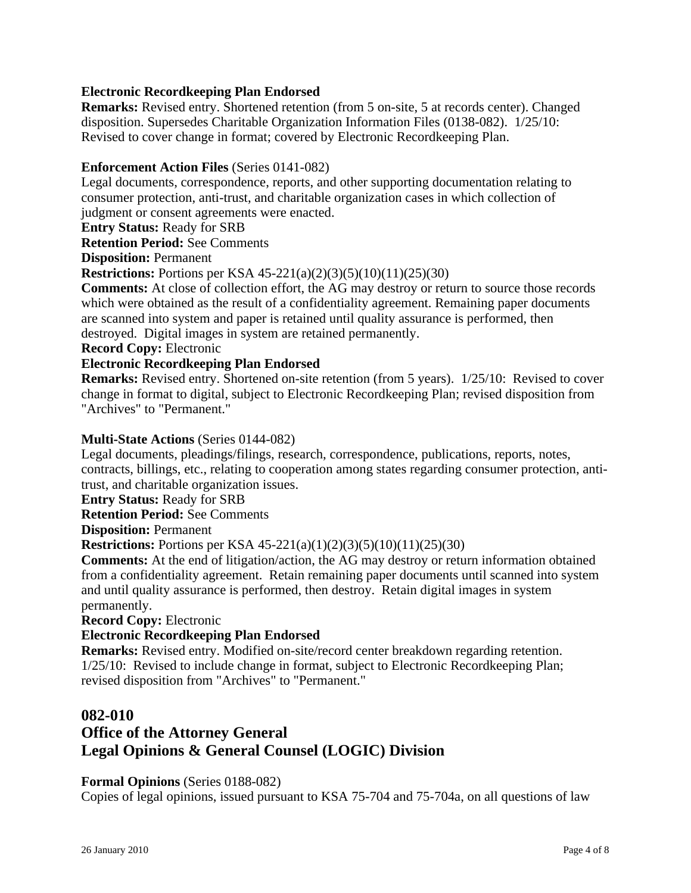### **Electronic Recordkeeping Plan Endorsed**

**Remarks:** Revised entry. Shortened retention (from 5 on-site, 5 at records center). Changed disposition. Supersedes Charitable Organization Information Files (0138-082). 1/25/10: Revised to cover change in format; covered by Electronic Recordkeeping Plan.

#### **Enforcement Action Files** (Series 0141-082)

Legal documents, correspondence, reports, and other supporting documentation relating to consumer protection, anti-trust, and charitable organization cases in which collection of judgment or consent agreements were enacted.

**Entry Status:** Ready for SRB

**Retention Period:** See Comments

**Disposition:** Permanent

**Restrictions:** Portions per KSA 45-221(a)(2)(3)(5)(10)(11)(25)(30)

**Comments:** At close of collection effort, the AG may destroy or return to source those records which were obtained as the result of a confidentiality agreement. Remaining paper documents are scanned into system and paper is retained until quality assurance is performed, then destroyed. Digital images in system are retained permanently.

**Record Copy:** Electronic

#### **Electronic Recordkeeping Plan Endorsed**

**Remarks:** Revised entry. Shortened on-site retention (from 5 years). 1/25/10: Revised to cover change in format to digital, subject to Electronic Recordkeeping Plan; revised disposition from "Archives" to "Permanent."

#### **Multi-State Actions** (Series 0144-082)

Legal documents, pleadings/filings, research, correspondence, publications, reports, notes, contracts, billings, etc., relating to cooperation among states regarding consumer protection, antitrust, and charitable organization issues.

**Entry Status:** Ready for SRB

**Retention Period:** See Comments

**Disposition:** Permanent

**Restrictions:** Portions per KSA 45-221(a)(1)(2)(3)(5)(10)(11)(25)(30)

**Comments:** At the end of litigation/action, the AG may destroy or return information obtained from a confidentiality agreement. Retain remaining paper documents until scanned into system and until quality assurance is performed, then destroy. Retain digital images in system permanently.

**Record Copy:** Electronic

#### **Electronic Recordkeeping Plan Endorsed**

**Remarks:** Revised entry. Modified on-site/record center breakdown regarding retention. 1/25/10: Revised to include change in format, subject to Electronic Recordkeeping Plan; revised disposition from "Archives" to "Permanent."

#### **082-010**

# **Office of the Attorney General Legal Opinions & General Counsel (LOGIC) Division**

#### **Formal Opinions** (Series 0188-082)

Copies of legal opinions, issued pursuant to KSA 75-704 and 75-704a, on all questions of law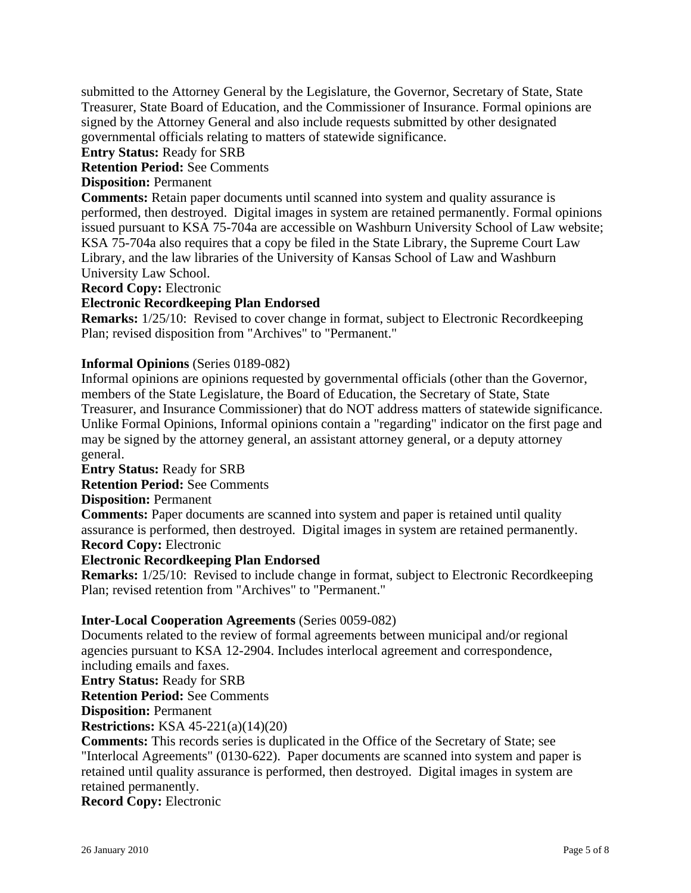submitted to the Attorney General by the Legislature, the Governor, Secretary of State, State Treasurer, State Board of Education, and the Commissioner of Insurance. Formal opinions are signed by the Attorney General and also include requests submitted by other designated governmental officials relating to matters of statewide significance.

**Entry Status:** Ready for SRB

**Retention Period:** See Comments

### **Disposition:** Permanent

**Comments:** Retain paper documents until scanned into system and quality assurance is performed, then destroyed. Digital images in system are retained permanently. Formal opinions issued pursuant to KSA 75-704a are accessible on Washburn University School of Law website; KSA 75-704a also requires that a copy be filed in the State Library, the Supreme Court Law Library, and the law libraries of the University of Kansas School of Law and Washburn University Law School.

**Record Copy:** Electronic

#### **Electronic Recordkeeping Plan Endorsed**

**Remarks:** 1/25/10: Revised to cover change in format, subject to Electronic Recordkeeping Plan; revised disposition from "Archives" to "Permanent."

### **Informal Opinions** (Series 0189-082)

Informal opinions are opinions requested by governmental officials (other than the Governor, members of the State Legislature, the Board of Education, the Secretary of State, State Treasurer, and Insurance Commissioner) that do NOT address matters of statewide significance. Unlike Formal Opinions, Informal opinions contain a "regarding" indicator on the first page and may be signed by the attorney general, an assistant attorney general, or a deputy attorney general.

#### **Entry Status:** Ready for SRB

**Retention Period:** See Comments

**Disposition:** Permanent

**Comments:** Paper documents are scanned into system and paper is retained until quality assurance is performed, then destroyed. Digital images in system are retained permanently. **Record Copy:** Electronic

#### **Electronic Recordkeeping Plan Endorsed**

**Remarks:** 1/25/10: Revised to include change in format, subject to Electronic Recordkeeping Plan; revised retention from "Archives" to "Permanent."

#### **Inter-Local Cooperation Agreements** (Series 0059-082)

Documents related to the review of formal agreements between municipal and/or regional agencies pursuant to KSA 12-2904. Includes interlocal agreement and correspondence, including emails and faxes.

**Entry Status:** Ready for SRB

**Retention Period:** See Comments

**Disposition:** Permanent

**Restrictions:** KSA 45-221(a)(14)(20)

**Comments:** This records series is duplicated in the Office of the Secretary of State; see "Interlocal Agreements" (0130-622). Paper documents are scanned into system and paper is retained until quality assurance is performed, then destroyed. Digital images in system are retained permanently.

**Record Copy:** Electronic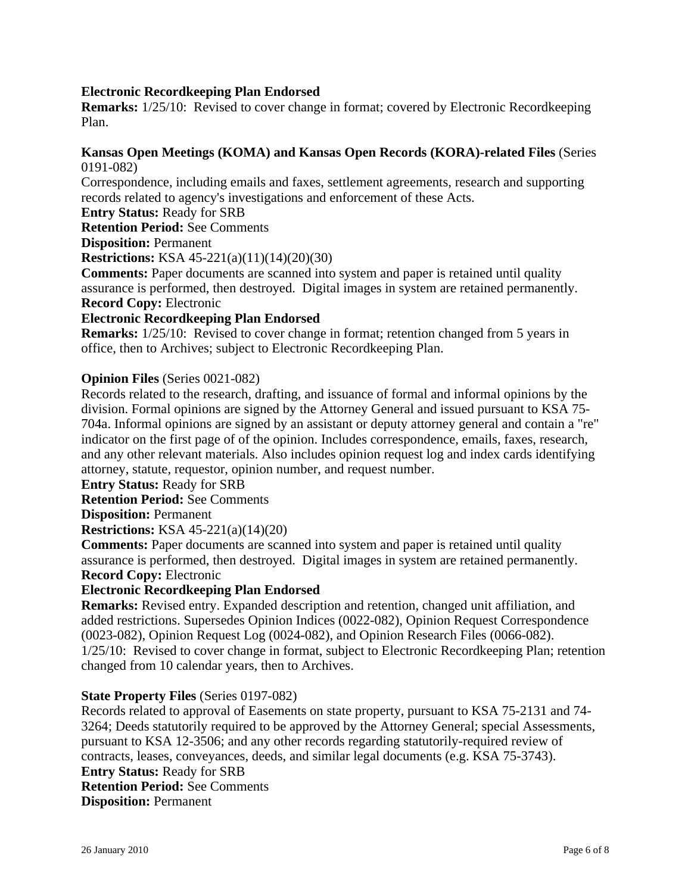### **Electronic Recordkeeping Plan Endorsed**

**Remarks:** 1/25/10: Revised to cover change in format; covered by Electronic Recordkeeping Plan.

#### **Kansas Open Meetings (KOMA) and Kansas Open Records (KORA)-related Files** (Series 0191-082)

Correspondence, including emails and faxes, settlement agreements, research and supporting records related to agency's investigations and enforcement of these Acts.

**Entry Status:** Ready for SRB

**Retention Period:** See Comments

**Disposition:** Permanent

**Restrictions:** KSA 45-221(a)(11)(14)(20)(30)

**Comments:** Paper documents are scanned into system and paper is retained until quality assurance is performed, then destroyed. Digital images in system are retained permanently. **Record Copy:** Electronic

#### **Electronic Recordkeeping Plan Endorsed**

**Remarks:**  $1/25/10$ : Revised to cover change in format; retention changed from 5 years in office, then to Archives; subject to Electronic Recordkeeping Plan.

#### **Opinion Files** (Series 0021-082)

Records related to the research, drafting, and issuance of formal and informal opinions by the division. Formal opinions are signed by the Attorney General and issued pursuant to KSA 75- 704a. Informal opinions are signed by an assistant or deputy attorney general and contain a "re" indicator on the first page of of the opinion. Includes correspondence, emails, faxes, research, and any other relevant materials. Also includes opinion request log and index cards identifying attorney, statute, requestor, opinion number, and request number.

**Entry Status:** Ready for SRB

**Retention Period:** See Comments

**Disposition:** Permanent

**Restrictions:** KSA 45-221(a)(14)(20)

**Comments:** Paper documents are scanned into system and paper is retained until quality assurance is performed, then destroyed. Digital images in system are retained permanently. **Record Copy:** Electronic

#### **Electronic Recordkeeping Plan Endorsed**

**Remarks:** Revised entry. Expanded description and retention, changed unit affiliation, and added restrictions. Supersedes Opinion Indices (0022-082), Opinion Request Correspondence (0023-082), Opinion Request Log (0024-082), and Opinion Research Files (0066-082). 1/25/10: Revised to cover change in format, subject to Electronic Recordkeeping Plan; retention changed from 10 calendar years, then to Archives.

#### **State Property Files** (Series 0197-082)

Records related to approval of Easements on state property, pursuant to KSA 75-2131 and 74- 3264; Deeds statutorily required to be approved by the Attorney General; special Assessments, pursuant to KSA 12-3506; and any other records regarding statutorily-required review of contracts, leases, conveyances, deeds, and similar legal documents (e.g. KSA 75-3743). **Entry Status:** Ready for SRB **Retention Period:** See Comments **Disposition:** Permanent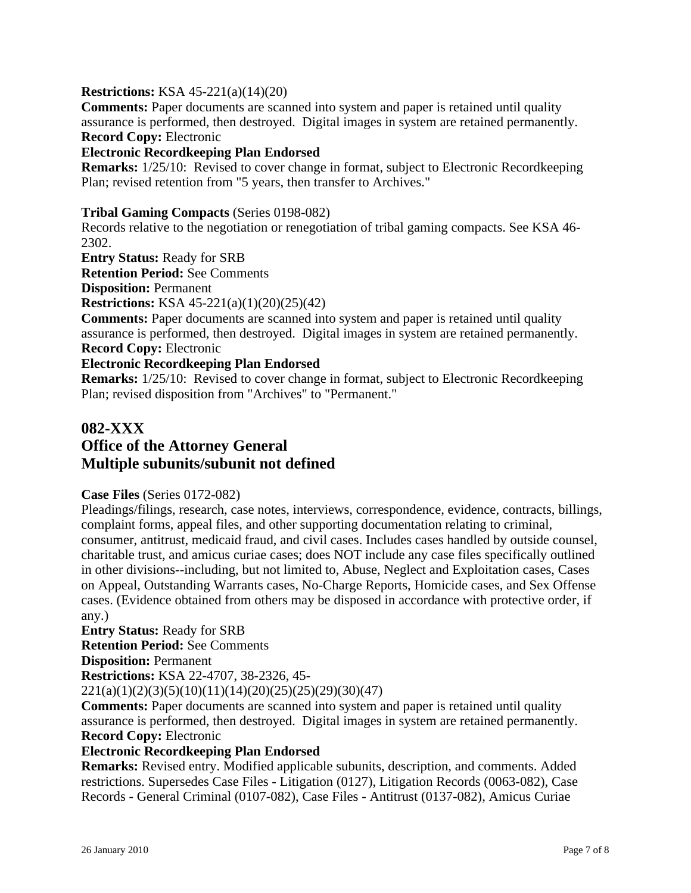#### **Restrictions:** KSA 45-221(a)(14)(20)

**Comments:** Paper documents are scanned into system and paper is retained until quality assurance is performed, then destroyed. Digital images in system are retained permanently. **Record Copy:** Electronic

#### **Electronic Recordkeeping Plan Endorsed**

**Remarks:** 1/25/10: Revised to cover change in format, subject to Electronic Recordkeeping Plan; revised retention from "5 years, then transfer to Archives."

#### **Tribal Gaming Compacts** (Series 0198-082)

Records relative to the negotiation or renegotiation of tribal gaming compacts. See KSA 46- 2302.

**Entry Status:** Ready for SRB

**Retention Period:** See Comments

**Disposition:** Permanent

**Restrictions:** KSA 45-221(a)(1)(20)(25)(42)

**Comments:** Paper documents are scanned into system and paper is retained until quality assurance is performed, then destroyed. Digital images in system are retained permanently. **Record Copy:** Electronic

#### **Electronic Recordkeeping Plan Endorsed**

**Remarks:** 1/25/10: Revised to cover change in format, subject to Electronic Recordkeeping Plan; revised disposition from "Archives" to "Permanent."

# **082-XXX Office of the Attorney General Multiple subunits/subunit not defined**

#### **Case Files** (Series 0172-082)

Pleadings/filings, research, case notes, interviews, correspondence, evidence, contracts, billings, complaint forms, appeal files, and other supporting documentation relating to criminal, consumer, antitrust, medicaid fraud, and civil cases. Includes cases handled by outside counsel, charitable trust, and amicus curiae cases; does NOT include any case files specifically outlined in other divisions--including, but not limited to, Abuse, Neglect and Exploitation cases, Cases on Appeal, Outstanding Warrants cases, No-Charge Reports, Homicide cases, and Sex Offense cases. (Evidence obtained from others may be disposed in accordance with protective order, if any.)

**Entry Status:** Ready for SRB **Retention Period:** See Comments **Disposition:** Permanent **Restrictions:** KSA 22-4707, 38-2326, 45-

 $221(a)(1)(2)(3)(5)(10)(11)(14)(20)(25)(25)(29)(30)(47)$ 

**Comments:** Paper documents are scanned into system and paper is retained until quality assurance is performed, then destroyed. Digital images in system are retained permanently. **Record Copy:** Electronic

#### **Electronic Recordkeeping Plan Endorsed**

**Remarks:** Revised entry. Modified applicable subunits, description, and comments. Added restrictions. Supersedes Case Files - Litigation (0127), Litigation Records (0063-082), Case Records - General Criminal (0107-082), Case Files - Antitrust (0137-082), Amicus Curiae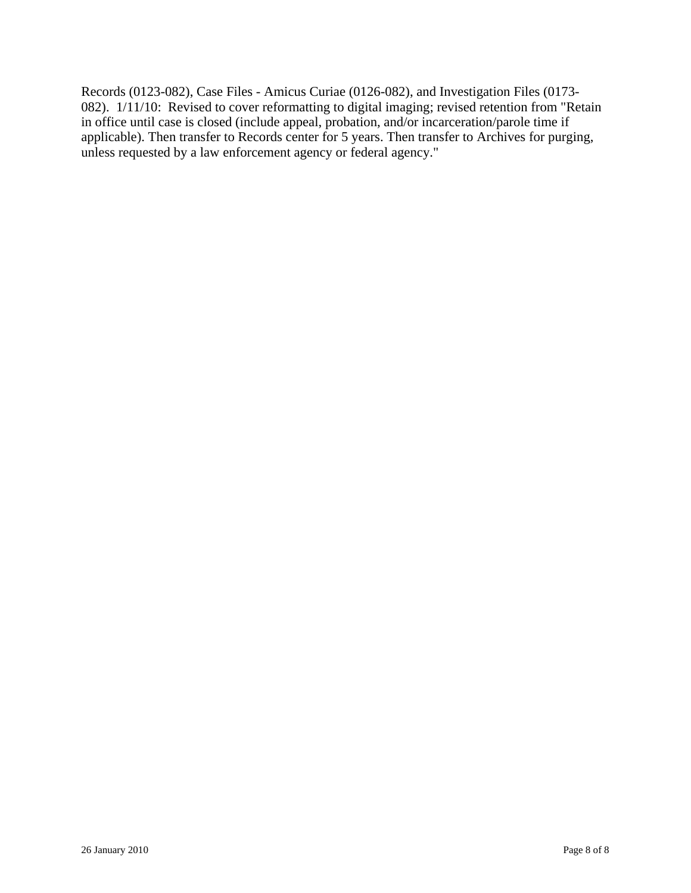Records (0123-082), Case Files - Amicus Curiae (0126-082), and Investigation Files (0173- 082). 1/11/10: Revised to cover reformatting to digital imaging; revised retention from "Retain in office until case is closed (include appeal, probation, and/or incarceration/parole time if applicable). Then transfer to Records center for 5 years. Then transfer to Archives for purging, unless requested by a law enforcement agency or federal agency."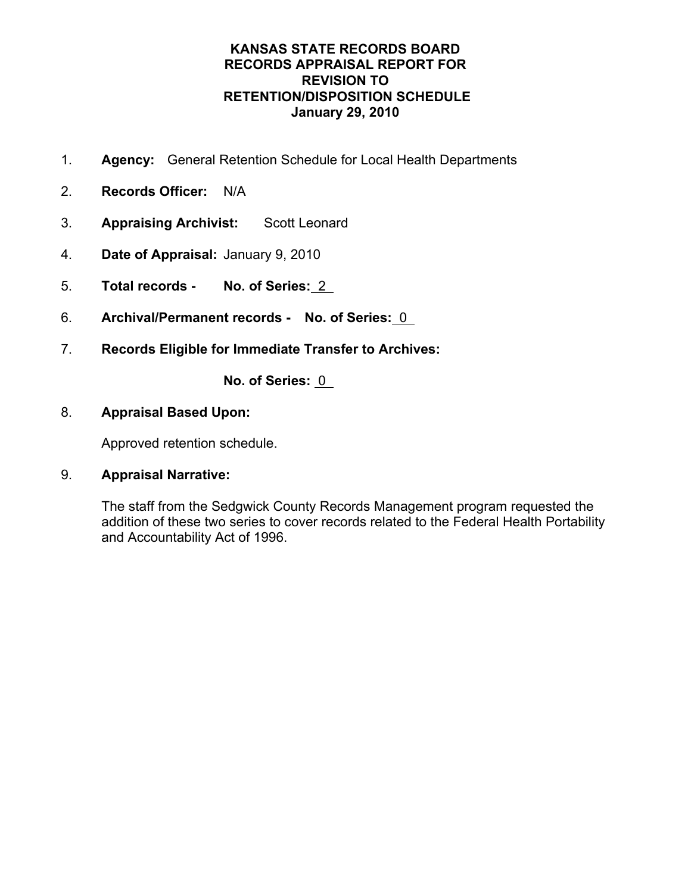- 1. **Agency:** General Retention Schedule for Local Health Departments
- 2. **Records Officer:** N/A
- 3. **Appraising Archivist:** Scott Leonard
- 4. **Date of Appraisal:** January 9, 2010
- 5. **Total records No. of Series:** 2
- 6. **Archival/Permanent records No. of Series:** 0
- 7. **Records Eligible for Immediate Transfer to Archives:**

**No. of Series:** 0

## 8. **Appraisal Based Upon:**

Approved retention schedule.

## 9. **Appraisal Narrative:**

The staff from the Sedgwick County Records Management program requested the addition of these two series to cover records related to the Federal Health Portability and Accountability Act of 1996.